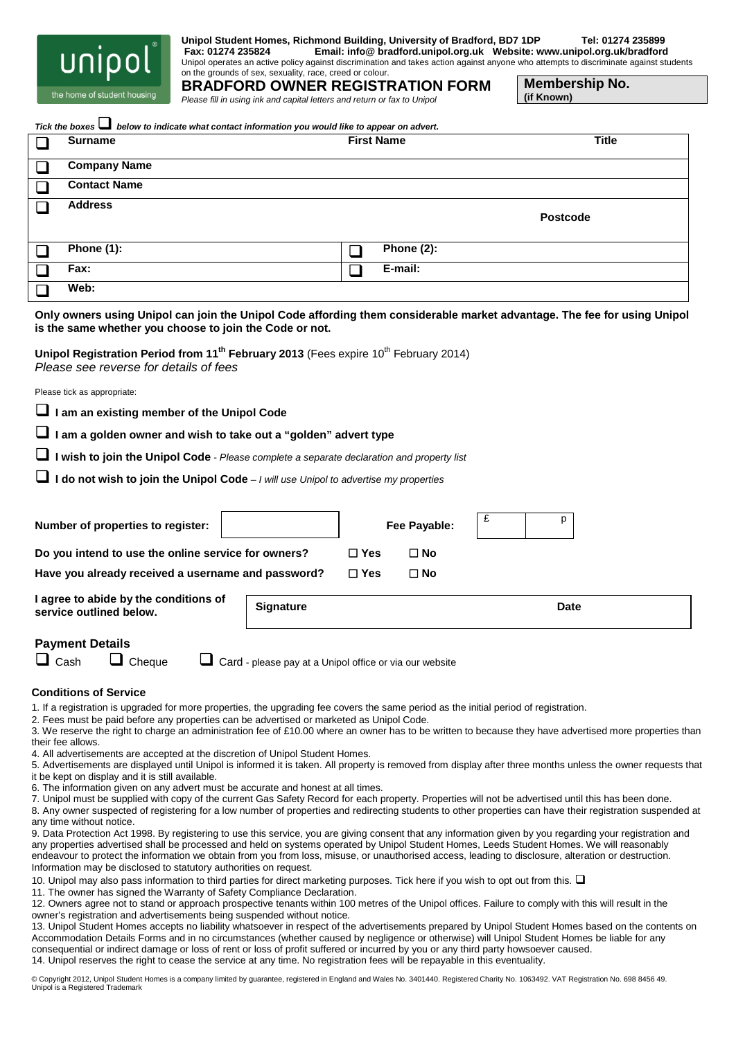

**Unipol Student Homes, Richmond Building, University of Bradford, BD7 1DP Tel: 01274 235899 Fax: 01274 235824 Email: info@ bradford.unipol.org.uk Website: www.unipol.org.uk/bradford**

Unipol operates an active policy against discrimination and takes action against anyone who attempts to discriminate against students on the grounds of sex, sexuality, race, creed or colour.

the home of student housing

**BRADFORD OWNER REGISTRATION FORM** *Please fill in using ink and capital letters and return or fax to Unipol*

**Membership No.**

**(if Known)**

| <b>Surname</b>                                                            |                                                                                                                                                                                                                                                      | <b>First Name</b> |               | Title           |
|---------------------------------------------------------------------------|------------------------------------------------------------------------------------------------------------------------------------------------------------------------------------------------------------------------------------------------------|-------------------|---------------|-----------------|
| <b>Company Name</b><br>$\sqcup$                                           |                                                                                                                                                                                                                                                      |                   |               |                 |
| <b>Contact Name</b>                                                       |                                                                                                                                                                                                                                                      |                   |               |                 |
| <b>Address</b><br>H                                                       |                                                                                                                                                                                                                                                      |                   |               |                 |
|                                                                           |                                                                                                                                                                                                                                                      |                   |               | <b>Postcode</b> |
| <b>Phone (1):</b><br>$\mathsf{L}$                                         |                                                                                                                                                                                                                                                      | $\Box$            | Phone $(2)$ : |                 |
| Fax:                                                                      |                                                                                                                                                                                                                                                      | $\Box$            | E-mail:       |                 |
| Web:                                                                      |                                                                                                                                                                                                                                                      |                   |               |                 |
| Please tick as appropriate:<br>I am an existing member of the Unipol Code | I am a golden owner and wish to take out a "golden" advert type<br>I wish to join the Unipol Code - Please complete a separate declaration and property list<br>I do not wish to join the Unipol Code - I will use Unipol to advertise my properties |                   |               |                 |
| Number of properties to register:                                         |                                                                                                                                                                                                                                                      |                   | Fee Payable:  | £<br>p          |
| Do you intend to use the online service for owners?                       |                                                                                                                                                                                                                                                      | $\Box$ Yes        | $\square$ No  |                 |
|                                                                           | Have you already received a username and password?                                                                                                                                                                                                   | $\Box$ Yes        | $\Box$ No     |                 |
| I agree to abide by the conditions of<br>service outlined below.          | <b>Signature</b>                                                                                                                                                                                                                                     |                   |               | <b>Date</b>     |
| <b>Payment Details</b><br>$\Box$ Cash<br>$\Box$ Cheque                    | Card - please pay at a Unipol office or via our website                                                                                                                                                                                              |                   |               |                 |
| <b>Conditions of Service</b>                                              | 1. If a registration is upgraded for more properties, the upgrading fee covers the same period as the initial period of registration.<br>2. Fees must be paid before any properties can be advertised or marketed as Unipol Code.                    |                   |               |                 |

- 4. All advertisements are accepted at the discretion of Unipol Student Homes.
- 5. Advertisements are displayed until Unipol is informed it is taken. All property is removed from display after three months unless the owner requests that it be kept on display and it is still available.
- 6. The information given on any advert must be accurate and honest at all times.
- 7. Unipol must be supplied with copy of the current Gas Safety Record for each property. Properties will not be advertised until this has been done.
- 8. Any owner suspected of registering for a low number of properties and redirecting students to other properties can have their registration suspended at any time without notice.

9. Data Protection Act 1998. By registering to use this service, you are giving consent that any information given by you regarding your registration and any properties advertised shall be processed and held on systems operated by Unipol Student Homes, Leeds Student Homes. We will reasonably endeavour to protect the information we obtain from you from loss, misuse, or unauthorised access, leading to disclosure, alteration or destruction. Information may be disclosed to statutory authorities on request.

- 10. Unipol may also pass information to third parties for direct marketing purposes. Tick here if you wish to opt out from this.  $\Box$
- 11. The owner has signed the Warranty of Safety Compliance Declaration.
- 12. Owners agree not to stand or approach prospective tenants within 100 metres of the Unipol offices. Failure to comply with this will result in the owner's registration and advertisements being suspended without notice.
- 13. Unipol Student Homes accepts no liability whatsoever in respect of the advertisements prepared by Unipol Student Homes based on the contents on Accommodation Details Forms and in no circumstances (whether caused by negligence or otherwise) will Unipol Student Homes be liable for any consequential or indirect damage or loss of rent or loss of profit suffered or incurred by you or any third party howsoever caused. 14. Unipol reserves the right to cease the service at any time. No registration fees will be repayable in this eventuality.

© Copyright 2012, Unipol Student Homes is a company limited by guarantee, registered in England and Wales No. 3401440. Registered Charity No. 1063492. VAT Registration No. 698 8456 49.<br>Unipol is a Registered Trademark